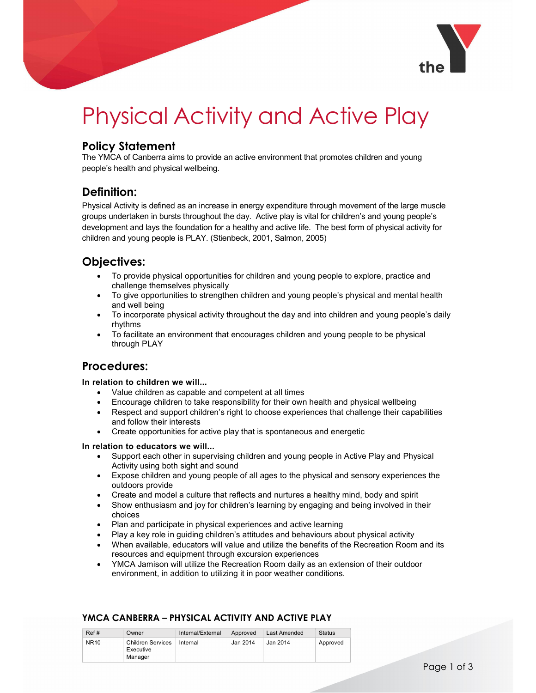

# Physical Activity and Active Play

## Policy Statement

The YMCA of Canberra aims to provide an active environment that promotes children and young people's health and physical wellbeing.

## Definition:

Physical Activity is defined as an increase in energy expenditure through movement of the large muscle groups undertaken in bursts throughout the day. Active play is vital for children's and young people's development and lays the foundation for a healthy and active life. The best form of physical activity for children and young people is PLAY. (Stienbeck, 2001, Salmon, 2005)

# Objectives:

- To provide physical opportunities for children and young people to explore, practice and challenge themselves physically
- To give opportunities to strengthen children and young people's physical and mental health and well being
- To incorporate physical activity throughout the day and into children and young people's daily rhythms
- To facilitate an environment that encourages children and young people to be physical through PLAY

## Procedures:

#### In relation to children we will...

- Value children as capable and competent at all times
- Encourage children to take responsibility for their own health and physical wellbeing
- Respect and support children's right to choose experiences that challenge their capabilities and follow their interests
- Create opportunities for active play that is spontaneous and energetic

#### In relation to educators we will...

- Support each other in supervising children and young people in Active Play and Physical Activity using both sight and sound
- Expose children and young people of all ages to the physical and sensory experiences the outdoors provide
- Create and model a culture that reflects and nurtures a healthy mind, body and spirit
- Show enthusiasm and joy for children's learning by engaging and being involved in their choices
- Plan and participate in physical experiences and active learning
- Play a key role in guiding children's attitudes and behaviours about physical activity
- When available, educators will value and utilize the benefits of the Recreation Room and its resources and equipment through excursion experiences
- YMCA Jamison will utilize the Recreation Room daily as an extension of their outdoor environment, in addition to utilizing it in poor weather conditions.

| Ref#        | Owner                                            | Internal/External | Approved | Last Amended | <b>Status</b> |
|-------------|--------------------------------------------------|-------------------|----------|--------------|---------------|
| <b>NR10</b> | <b>Children Services</b><br>Executive<br>Manager | Internal          | Jan 2014 | Jan 2014     | Approved      |

## YMCA CANBERRA – PHYSICAL ACTIVITY AND ACTIVE PLAY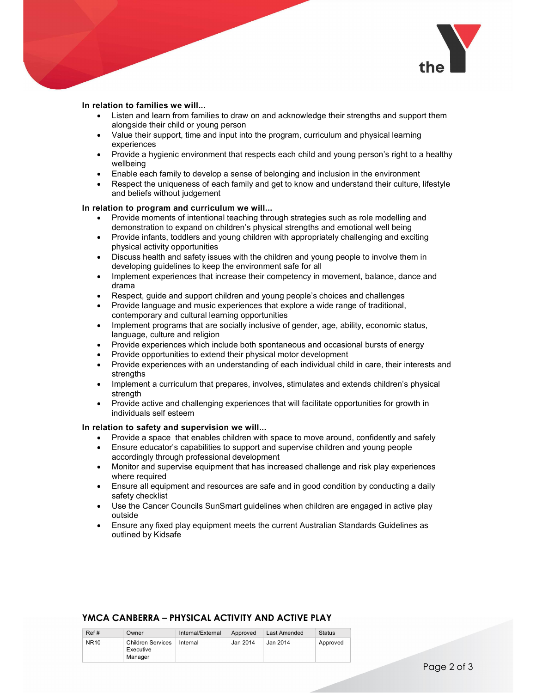

#### In relation to families we will...

- Listen and learn from families to draw on and acknowledge their strengths and support them alongside their child or young person
- Value their support, time and input into the program, curriculum and physical learning experiences
- Provide a hygienic environment that respects each child and young person's right to a healthy wellbeing
- Enable each family to develop a sense of belonging and inclusion in the environment
- Respect the uniqueness of each family and get to know and understand their culture, lifestyle and beliefs without judgement

#### In relation to program and curriculum we will...

- Provide moments of intentional teaching through strategies such as role modelling and demonstration to expand on children's physical strengths and emotional well being
- Provide infants, toddlers and young children with appropriately challenging and exciting physical activity opportunities
- Discuss health and safety issues with the children and young people to involve them in developing guidelines to keep the environment safe for all
- Implement experiences that increase their competency in movement, balance, dance and drama
- Respect, guide and support children and young people's choices and challenges
- Provide language and music experiences that explore a wide range of traditional, contemporary and cultural learning opportunities
- Implement programs that are socially inclusive of gender, age, ability, economic status, language, culture and religion
- Provide experiences which include both spontaneous and occasional bursts of energy
- Provide opportunities to extend their physical motor development
- Provide experiences with an understanding of each individual child in care, their interests and strengths
- Implement a curriculum that prepares, involves, stimulates and extends children's physical strength
- Provide active and challenging experiences that will facilitate opportunities for growth in individuals self esteem

#### In relation to safety and supervision we will...

- Provide a space that enables children with space to move around, confidently and safely
- Ensure educator's capabilities to support and supervise children and young people accordingly through professional development
- Monitor and supervise equipment that has increased challenge and risk play experiences where required
- Ensure all equipment and resources are safe and in good condition by conducting a daily safety checklist
- Use the Cancer Councils SunSmart guidelines when children are engaged in active play outside
- Ensure any fixed play equipment meets the current Australian Standards Guidelines as outlined by Kidsafe

#### YMCA CANBERRA – PHYSICAL ACTIVITY AND ACTIVE PLAY

| Ref#        | Owner                                            | Internal/External | Approved | Last Amended | <b>Status</b> |
|-------------|--------------------------------------------------|-------------------|----------|--------------|---------------|
| <b>NR10</b> | <b>Children Services</b><br>Executive<br>Manager | Internal          | Jan 2014 | Jan 2014     | Approved      |